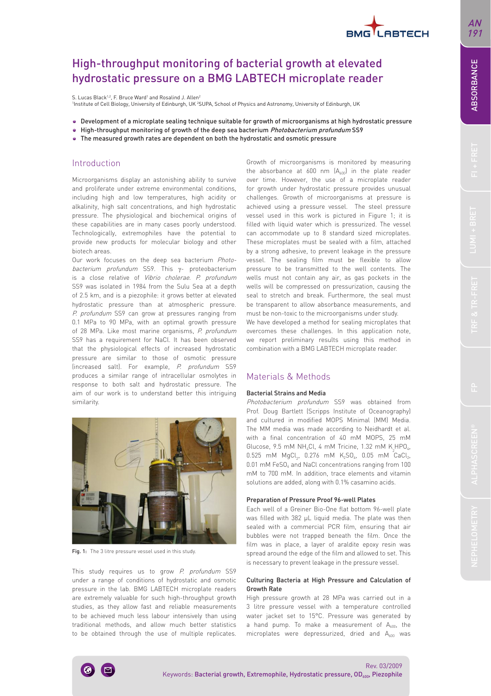# BMG I ARTECH

# High-throughput monitoring of bacterial growth at elevated hydrostatic pressure on a BMG LABTECH microplate reader

S. Lucas Black<sup>1,2</sup>, F. Bruce Ward<sup>1</sup> and Rosalind J. Allen<sup>2</sup>

Institute of Cell Biology, University of Edinburgh, UK <sup>2</sup>SUPA, School of Physics and Astronomy, University of Edinburgh, UK

- Development of a microplate sealing technique suitable for growth of microorganisms at high hydrostatic pressure
- High-throughput monitoring of growth of the deep sea bacterium *Photobacterium profundum* SS9
- The measured growth rates are dependent on both the hydrostatic and osmotic pressure

### Introduction

Microorganisms display an astonishing ability to survive and proliferate under extreme environmental conditions, including high and low temperatures, high acidity or alkalinity, high salt concentrations, and high hydrostatic pressure. The physiological and biochemical origins of these capabilities are in many cases poorly understood. Technologically, extremophiles have the potential to provide new products for molecular biology and other biotech areas.

Our work focuses on the deep sea bacterium Photobacterium profundum SS9. This γ- proteobacterium is a close relative of Vibrio cholerae. P. profundum SS9 was isolated in 1984 from the Sulu Sea at a depth of 2.5 km, and is a piezophile: it grows better at elevated hydrostatic pressure than at atmospheric pressure. P. profundum SS9 can grow at pressures ranging from 0.1 MPa to 90 MPa, with an optimal growth pressure of 28 MPa. Like most marine organisms, P. profundum SS9 has a requirement for NaCl. It has been observed that the physiological effects of increased hydrostatic pressure are similar to those of osmotic pressure (increased salt). For example, P. profundum SS9 produces a similar range of intracellular osmolytes in response to both salt and hydrostatic pressure. The aim of our work is to understand better this intriguing similarity.

Fig. 1: The 3 litre pressure vessel used in this study.

This study requires us to grow P. profundum SS9 under a range of conditions of hydrostatic and osmotic pressure in the lab. BMG LABTECH microplate readers are extremely valuable for such high-throughput growth studies, as they allow fast and reliable measurements to be achieved much less labour intensively than using traditional methods, and allow much better statistics to be obtained through the use of multiple replicates.

Growth of microorganisms is monitored by measuring the absorbance at  $600$  nm  $(A<sub>600</sub>)$  in the plate reader over time. However, the use of a microplate reader for growth under hydrostatic pressure provides unusual challenges. Growth of microorganisms at pressure is achieved using a pressure vessel. The steel pressure vessel used in this work is pictured in Figure 1; it is filled with liquid water which is pressurized. The vessel can accommodate up to 8 standard sized microplates. These microplates must be sealed with a film, attached by a strong adhesive, to prevent leakage in the pressure vessel. The sealing film must be flexible to allow pressure to be transmitted to the well contents. The wells must not contain any air, as gas pockets in the wells will be compressed on pressurization, causing the seal to stretch and break. Furthermore, the seal must be transparent to allow absorbance measurements, and must be non-toxic to the microorganisms under study.

We have developed a method for sealing microplates that overcomes these challenges. In this application note, we report preliminary results using this method in combination with a BMG LABTECH microplate reader.

# Materials & Methods

#### Bacterial Strains and Media

Photobacterium profundum SS9 was obtained from Prof. Doug Bartlett (Scripps Institute of Oceanography) and cultured in modified MOPS Minimal (MM) Media. The MM media was made according to Neidhardt et al. with a final concentration of 40 mM MOPS, 25 mM Glucose, 9.5 mM NH<sub>4</sub>Cl, 4 mM Tricine, 1.32 mM K<sub>2</sub>HPO<sub>4</sub>, 0.525 mM  $MgCl_2$ , 0.276 mM  $K_2SO_4$ , 0.05 mM CaCl<sub>2</sub>,  $0.01$  mM FeSO<sub> $4$ </sub> and NaCl concentrations ranging from 100 mM to 700 mM. In addition, trace elements and vitamin solutions are added, along with 0.1% casamino acids.

#### Preparation of Pressure Proof 96-well Plates

Each well of a Greiner Bio-One flat bottom 96-well plate was filled with 382 μL liquid media. The plate was then sealed with a commercial PCR film, ensuring that air bubbles were not trapped beneath the film. Once the film was in place, a layer of araldite epoxy resin was spread around the edge of the film and allowed to set. This is necessary to prevent leakage in the pressure vessel.

#### Culturing Bacteria at High Pressure and Calculation of Growth Rate

High pressure growth at 28 MPa was carried out in a 3 litre pressure vessel with a temperature controlled water jacket set to 15°C. Pressure was generated by a hand pump. To make a measurement of  $A_{600}$ , the microplates were depressurized, dried and A<sub>600</sub> was